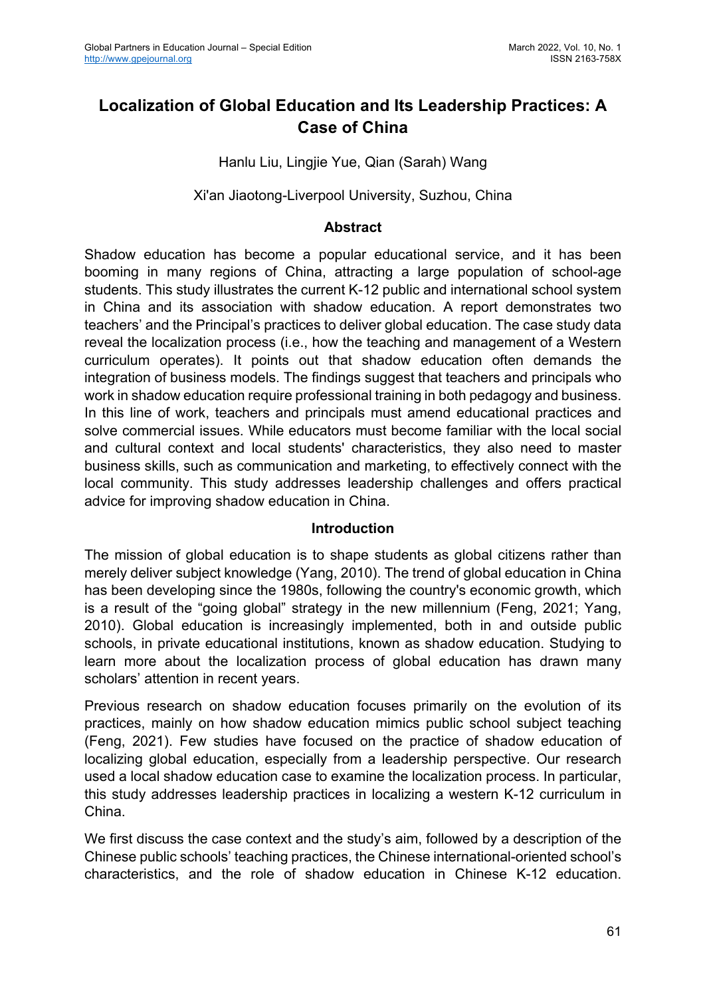# **Localization of Global Education and Its Leadership Practices: A Case of China**

Hanlu Liu, Lingjie Yue, Qian (Sarah) Wang

Xi'an Jiaotong-Liverpool University, Suzhou, China

#### **Abstract**

Shadow education has become a popular educational service, and it has been booming in many regions of China, attracting a large population of school-age students. This study illustrates the current K-12 public and international school system in China and its association with shadow education. A report demonstrates two teachers' and the Principal's practices to deliver global education. The case study data reveal the localization process (i.e., how the teaching and management of a Western curriculum operates). It points out that shadow education often demands the integration of business models. The findings suggest that teachers and principals who work in shadow education require professional training in both pedagogy and business. In this line of work, teachers and principals must amend educational practices and solve commercial issues. While educators must become familiar with the local social and cultural context and local students' characteristics, they also need to master business skills, such as communication and marketing, to effectively connect with the local community. This study addresses leadership challenges and offers practical advice for improving shadow education in China.

#### **Introduction**

The mission of global education is to shape students as global citizens rather than merely deliver subject knowledge (Yang, 2010). The trend of global education in China has been developing since the 1980s, following the country's economic growth, which is a result of the "going global" strategy in the new millennium (Feng, 2021; Yang, 2010). Global education is increasingly implemented, both in and outside public schools, in private educational institutions, known as shadow education. Studying to learn more about the localization process of global education has drawn many scholars' attention in recent years.

Previous research on shadow education focuses primarily on the evolution of its practices, mainly on how shadow education mimics public school subject teaching (Feng, 2021). Few studies have focused on the practice of shadow education of localizing global education, especially from a leadership perspective. Our research used a local shadow education case to examine the localization process. In particular, this study addresses leadership practices in localizing a western K-12 curriculum in China.

We first discuss the case context and the study's aim, followed by a description of the Chinese public schools' teaching practices, the Chinese international-oriented school's characteristics, and the role of shadow education in Chinese K-12 education.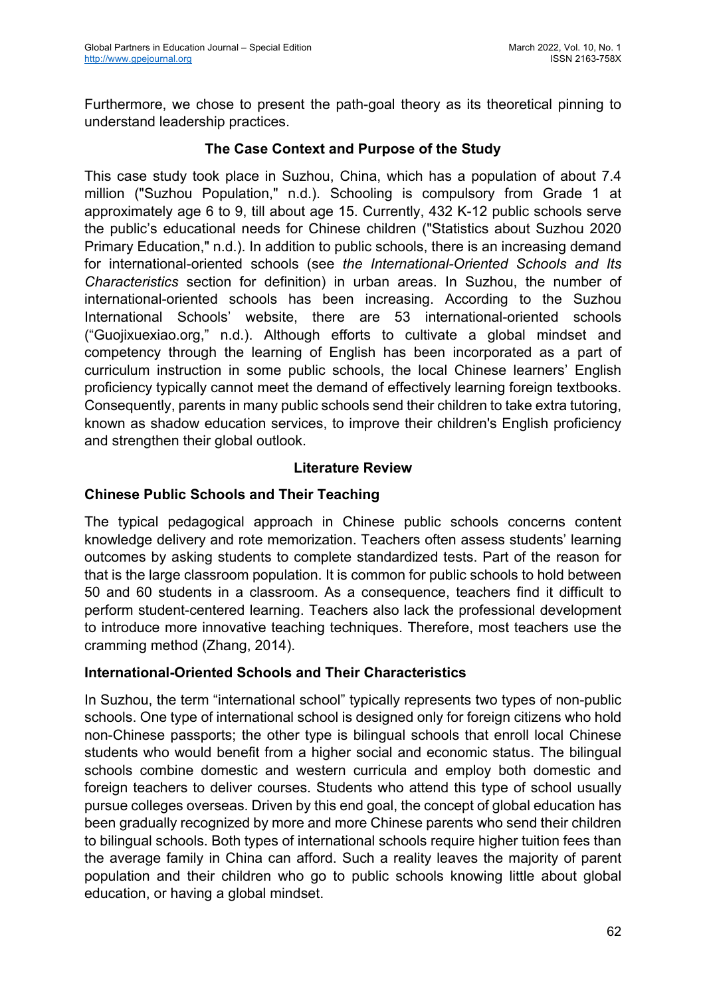Furthermore, we chose to present the path-goal theory as its theoretical pinning to understand leadership practices.

## **The Case Context and Purpose of the Study**

This case study took place in Suzhou, China, which has a population of about 7.4 million ("Suzhou Population," n.d.). Schooling is compulsory from Grade 1 at approximately age 6 to 9, till about age 15. Currently, 432 K-12 public schools serve the public's educational needs for Chinese children ("Statistics about Suzhou 2020 Primary Education," n.d.). In addition to public schools, there is an increasing demand for international-oriented schools (see *the International-Oriented Schools and Its Characteristics* section for definition) in urban areas. In Suzhou, the number of international-oriented schools has been increasing. According to the Suzhou International Schools' website, there are 53 international-oriented schools ("Guojixuexiao.org," n.d.). Although efforts to cultivate a global mindset and competency through the learning of English has been incorporated as a part of curriculum instruction in some public schools, the local Chinese learners' English proficiency typically cannot meet the demand of effectively learning foreign textbooks. Consequently, parents in many public schools send their children to take extra tutoring, known as shadow education services, to improve their children's English proficiency and strengthen their global outlook.

## **Literature Review**

## **Chinese Public Schools and Their Teaching**

The typical pedagogical approach in Chinese public schools concerns content knowledge delivery and rote memorization. Teachers often assess students' learning outcomes by asking students to complete standardized tests. Part of the reason for that is the large classroom population. It is common for public schools to hold between 50 and 60 students in a classroom. As a consequence, teachers find it difficult to perform student-centered learning. Teachers also lack the professional development to introduce more innovative teaching techniques. Therefore, most teachers use the cramming method (Zhang, 2014).

## **International-Oriented Schools and Their Characteristics**

In Suzhou, the term "international school" typically represents two types of non-public schools. One type of international school is designed only for foreign citizens who hold non-Chinese passports; the other type is bilingual schools that enroll local Chinese students who would benefit from a higher social and economic status. The bilingual schools combine domestic and western curricula and employ both domestic and foreign teachers to deliver courses. Students who attend this type of school usually pursue colleges overseas. Driven by this end goal, the concept of global education has been gradually recognized by more and more Chinese parents who send their children to bilingual schools. Both types of international schools require higher tuition fees than the average family in China can afford. Such a reality leaves the majority of parent population and their children who go to public schools knowing little about global education, or having a global mindset.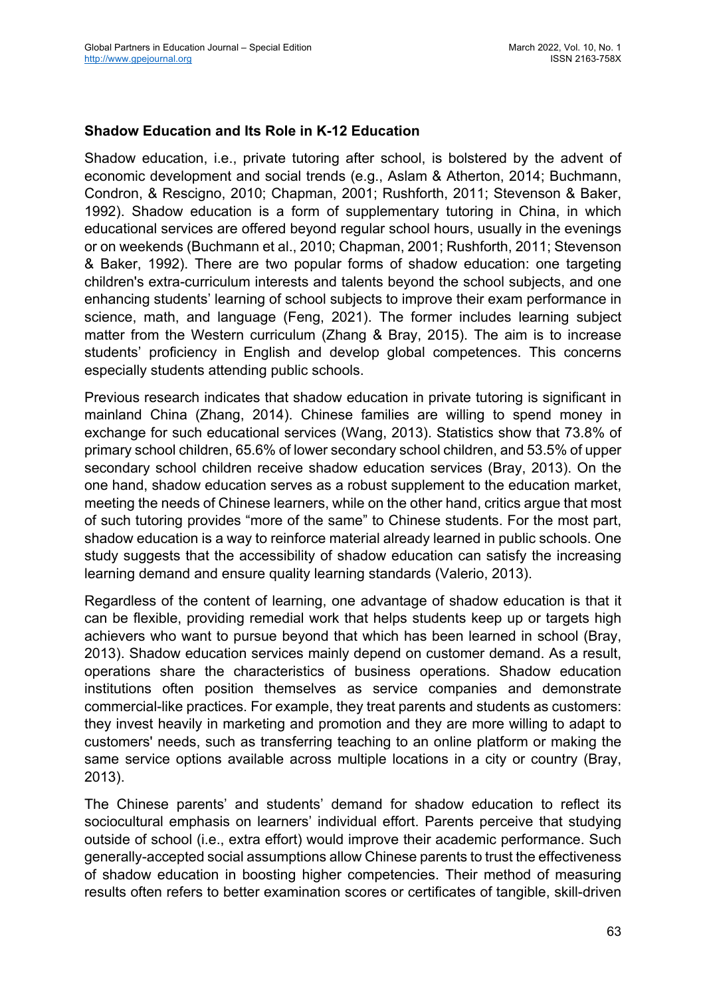#### **Shadow Education and Its Role in K-12 Education**

Shadow education, i.e., private tutoring after school, is bolstered by the advent of economic development and social trends (e.g., Aslam & Atherton, 2014; Buchmann, Condron, & Rescigno, 2010; Chapman, 2001; Rushforth, 2011; Stevenson & Baker, 1992). Shadow education is a form of supplementary tutoring in China, in which educational services are offered beyond regular school hours, usually in the evenings or on weekends (Buchmann et al., 2010; Chapman, 2001; Rushforth, 2011; Stevenson & Baker, 1992). There are two popular forms of shadow education: one targeting children's extra-curriculum interests and talents beyond the school subjects, and one enhancing students' learning of school subjects to improve their exam performance in science, math, and language (Feng, 2021). The former includes learning subject matter from the Western curriculum (Zhang & Bray, 2015). The aim is to increase students' proficiency in English and develop global competences. This concerns especially students attending public schools.

Previous research indicates that shadow education in private tutoring is significant in mainland China (Zhang, 2014). Chinese families are willing to spend money in exchange for such educational services (Wang, 2013). Statistics show that 73.8% of primary school children, 65.6% of lower secondary school children, and 53.5% of upper secondary school children receive shadow education services (Bray, 2013). On the one hand, shadow education serves as a robust supplement to the education market, meeting the needs of Chinese learners, while on the other hand, critics argue that most of such tutoring provides "more of the same" to Chinese students. For the most part, shadow education is a way to reinforce material already learned in public schools. One study suggests that the accessibility of shadow education can satisfy the increasing learning demand and ensure quality learning standards (Valerio, 2013).

Regardless of the content of learning, one advantage of shadow education is that it can be flexible, providing remedial work that helps students keep up or targets high achievers who want to pursue beyond that which has been learned in school (Bray, 2013). Shadow education services mainly depend on customer demand. As a result, operations share the characteristics of business operations. Shadow education institutions often position themselves as service companies and demonstrate commercial-like practices. For example, they treat parents and students as customers: they invest heavily in marketing and promotion and they are more willing to adapt to customers' needs, such as transferring teaching to an online platform or making the same service options available across multiple locations in a city or country (Bray, 2013).

The Chinese parents' and students' demand for shadow education to reflect its sociocultural emphasis on learners' individual effort. Parents perceive that studying outside of school (i.e., extra effort) would improve their academic performance. Such generally-accepted social assumptions allow Chinese parents to trust the effectiveness of shadow education in boosting higher competencies. Their method of measuring results often refers to better examination scores or certificates of tangible, skill-driven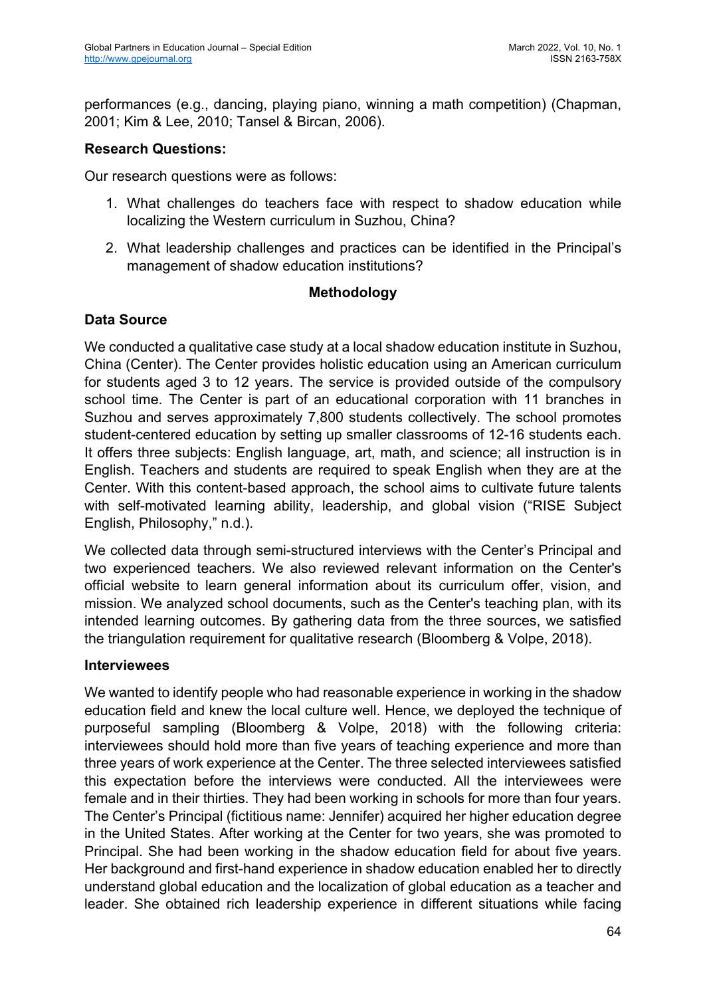performances (e.g., dancing, playing piano, winning a math competition) (Chapman, 2001; Kim & Lee, 2010; Tansel & Bircan, 2006).

#### **Research Questions:**

Our research questions were as follows:

- 1. What challenges do teachers face with respect to shadow education while localizing the Western curriculum in Suzhou, China?
- 2. What leadership challenges and practices can be identified in the Principal's management of shadow education institutions?

#### **Methodology**

## **Data Source**

We conducted a qualitative case study at a local shadow education institute in Suzhou, China (Center). The Center provides holistic education using an American curriculum for students aged 3 to 12 years. The service is provided outside of the compulsory school time. The Center is part of an educational corporation with 11 branches in Suzhou and serves approximately 7,800 students collectively. The school promotes student-centered education by setting up smaller classrooms of 12-16 students each. It offers three subjects: English language, art, math, and science; all instruction is in English. Teachers and students are required to speak English when they are at the Center. With this content-based approach, the school aims to cultivate future talents with self-motivated learning ability, leadership, and global vision ("RISE Subject English, Philosophy," n.d.).

We collected data through semi-structured interviews with the Center's Principal and two experienced teachers. We also reviewed relevant information on the Center's official website to learn general information about its curriculum offer, vision, and mission. We analyzed school documents, such as the Center's teaching plan, with its intended learning outcomes. By gathering data from the three sources, we satisfied the triangulation requirement for qualitative research (Bloomberg & Volpe, 2018).

#### **Interviewees**

We wanted to identify people who had reasonable experience in working in the shadow education field and knew the local culture well. Hence, we deployed the technique of purposeful sampling (Bloomberg & Volpe, 2018) with the following criteria: interviewees should hold more than five years of teaching experience and more than three years of work experience at the Center. The three selected interviewees satisfied this expectation before the interviews were conducted. All the interviewees were female and in their thirties. They had been working in schools for more than four years. The Center's Principal (fictitious name: Jennifer) acquired her higher education degree in the United States. After working at the Center for two years, she was promoted to Principal. She had been working in the shadow education field for about five years. Her background and first-hand experience in shadow education enabled her to directly understand global education and the localization of global education as a teacher and leader. She obtained rich leadership experience in different situations while facing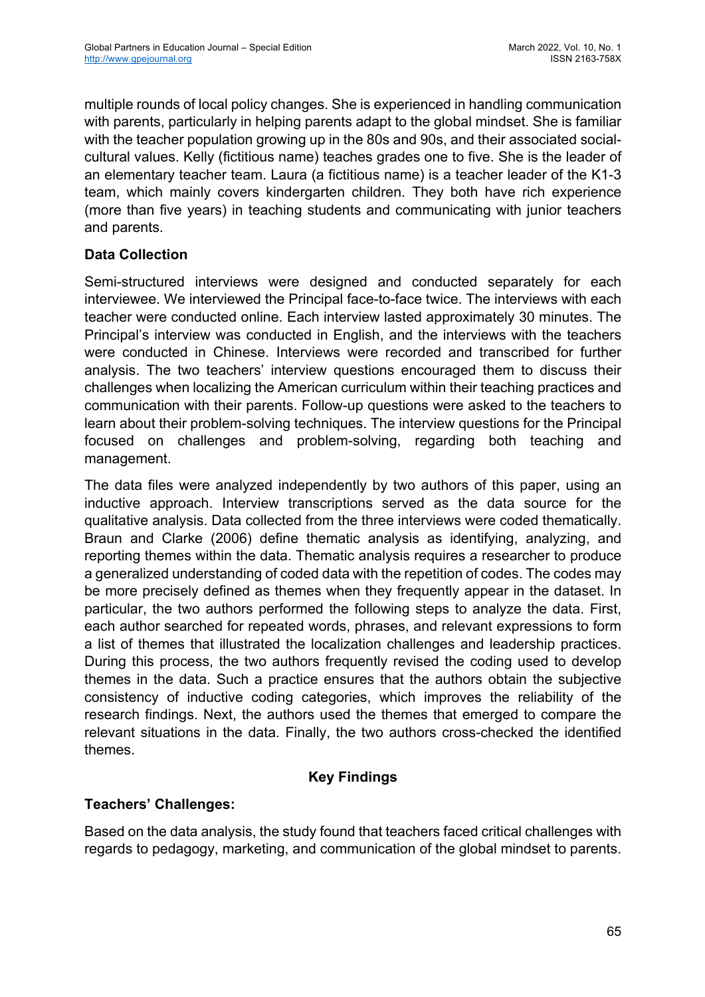multiple rounds of local policy changes. She is experienced in handling communication with parents, particularly in helping parents adapt to the global mindset. She is familiar with the teacher population growing up in the 80s and 90s, and their associated socialcultural values. Kelly (fictitious name) teaches grades one to five. She is the leader of an elementary teacher team. Laura (a fictitious name) is a teacher leader of the K1-3 team, which mainly covers kindergarten children. They both have rich experience (more than five years) in teaching students and communicating with junior teachers and parents.

# **Data Collection**

Semi-structured interviews were designed and conducted separately for each interviewee. We interviewed the Principal face-to-face twice. The interviews with each teacher were conducted online. Each interview lasted approximately 30 minutes. The Principal's interview was conducted in English, and the interviews with the teachers were conducted in Chinese. Interviews were recorded and transcribed for further analysis. The two teachers' interview questions encouraged them to discuss their challenges when localizing the American curriculum within their teaching practices and communication with their parents. Follow-up questions were asked to the teachers to learn about their problem-solving techniques. The interview questions for the Principal focused on challenges and problem-solving, regarding both teaching and management.

The data files were analyzed independently by two authors of this paper, using an inductive approach. Interview transcriptions served as the data source for the qualitative analysis. Data collected from the three interviews were coded thematically. Braun and Clarke (2006) define thematic analysis as identifying, analyzing, and reporting themes within the data. Thematic analysis requires a researcher to produce a generalized understanding of coded data with the repetition of codes. The codes may be more precisely defined as themes when they frequently appear in the dataset. In particular, the two authors performed the following steps to analyze the data. First, each author searched for repeated words, phrases, and relevant expressions to form a list of themes that illustrated the localization challenges and leadership practices. During this process, the two authors frequently revised the coding used to develop themes in the data. Such a practice ensures that the authors obtain the subjective consistency of inductive coding categories, which improves the reliability of the research findings. Next, the authors used the themes that emerged to compare the relevant situations in the data. Finally, the two authors cross-checked the identified themes.

## **Key Findings**

## **Teachers' Challenges:**

Based on the data analysis, the study found that teachers faced critical challenges with regards to pedagogy, marketing, and communication of the global mindset to parents.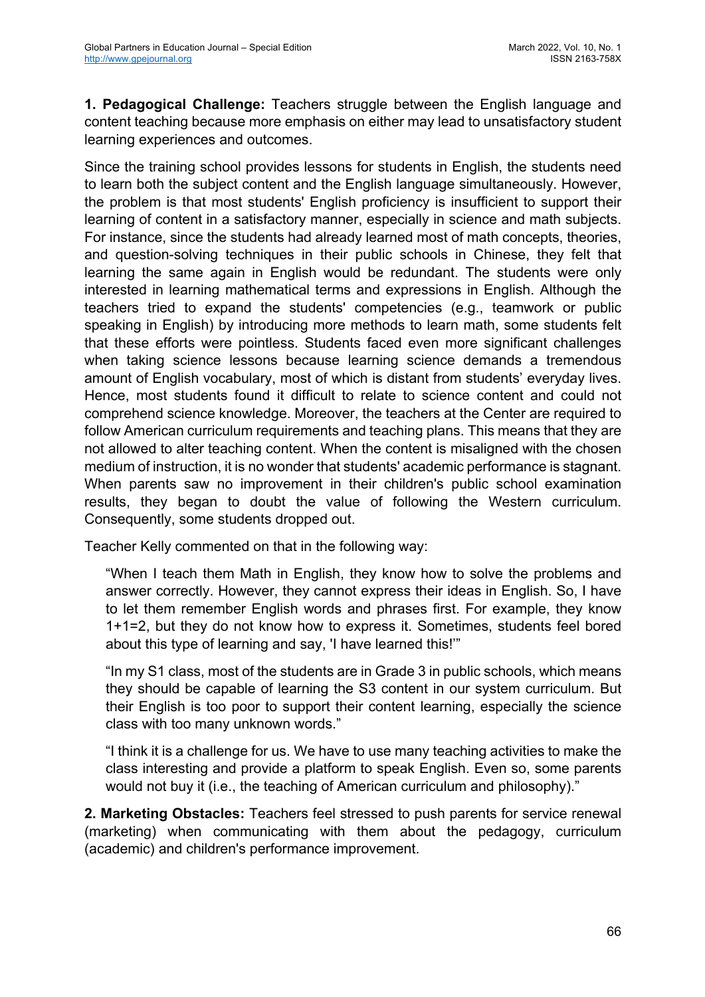**1. Pedagogical Challenge:** Teachers struggle between the English language and content teaching because more emphasis on either may lead to unsatisfactory student learning experiences and outcomes.

Since the training school provides lessons for students in English, the students need to learn both the subject content and the English language simultaneously. However, the problem is that most students' English proficiency is insufficient to support their learning of content in a satisfactory manner, especially in science and math subjects. For instance, since the students had already learned most of math concepts, theories, and question-solving techniques in their public schools in Chinese, they felt that learning the same again in English would be redundant. The students were only interested in learning mathematical terms and expressions in English. Although the teachers tried to expand the students' competencies (e.g., teamwork or public speaking in English) by introducing more methods to learn math, some students felt that these efforts were pointless. Students faced even more significant challenges when taking science lessons because learning science demands a tremendous amount of English vocabulary, most of which is distant from students' everyday lives. Hence, most students found it difficult to relate to science content and could not comprehend science knowledge. Moreover, the teachers at the Center are required to follow American curriculum requirements and teaching plans. This means that they are not allowed to alter teaching content. When the content is misaligned with the chosen medium of instruction, it is no wonder that students' academic performance is stagnant. When parents saw no improvement in their children's public school examination results, they began to doubt the value of following the Western curriculum. Consequently, some students dropped out.

Teacher Kelly commented on that in the following way:

"When I teach them Math in English, they know how to solve the problems and answer correctly. However, they cannot express their ideas in English. So, I have to let them remember English words and phrases first. For example, they know 1+1=2, but they do not know how to express it. Sometimes, students feel bored about this type of learning and say, 'I have learned this!'"

"In my S1 class, most of the students are in Grade 3 in public schools, which means they should be capable of learning the S3 content in our system curriculum. But their English is too poor to support their content learning, especially the science class with too many unknown words."

"I think it is a challenge for us. We have to use many teaching activities to make the class interesting and provide a platform to speak English. Even so, some parents would not buy it (i.e., the teaching of American curriculum and philosophy)."

**2. Marketing Obstacles:** Teachers feel stressed to push parents for service renewal (marketing) when communicating with them about the pedagogy, curriculum (academic) and children's performance improvement.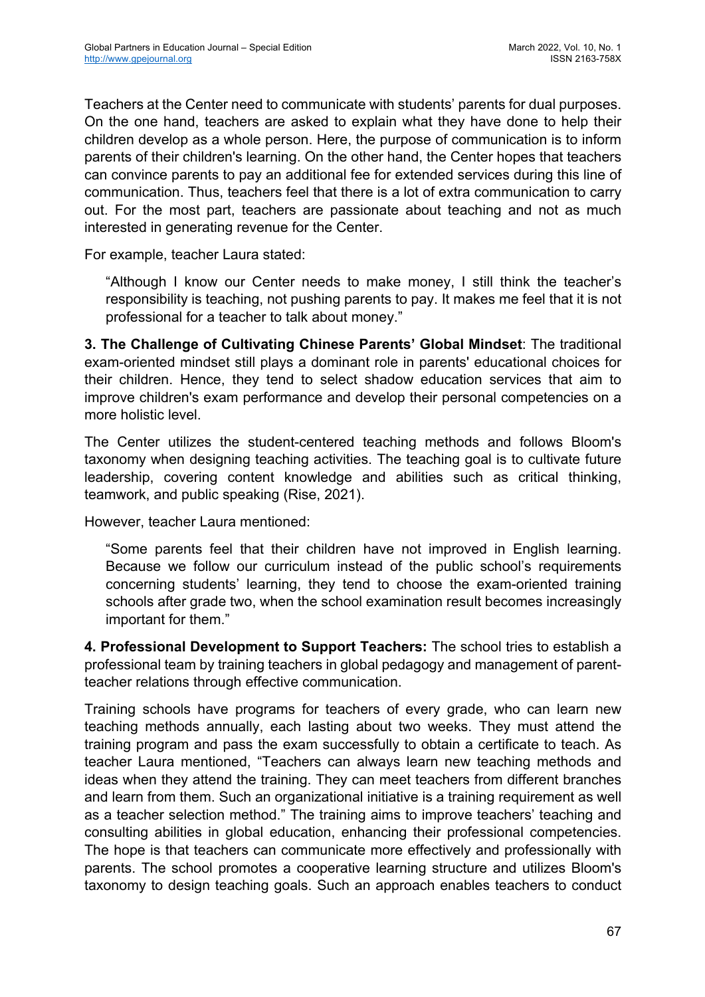Teachers at the Center need to communicate with students' parents for dual purposes. On the one hand, teachers are asked to explain what they have done to help their children develop as a whole person. Here, the purpose of communication is to inform parents of their children's learning. On the other hand, the Center hopes that teachers can convince parents to pay an additional fee for extended services during this line of communication. Thus, teachers feel that there is a lot of extra communication to carry out. For the most part, teachers are passionate about teaching and not as much interested in generating revenue for the Center.

For example, teacher Laura stated:

"Although I know our Center needs to make money, I still think the teacher's responsibility is teaching, not pushing parents to pay. It makes me feel that it is not professional for a teacher to talk about money."

**3. The Challenge of Cultivating Chinese Parents' Global Mindset**: The traditional exam-oriented mindset still plays a dominant role in parents' educational choices for their children. Hence, they tend to select shadow education services that aim to improve children's exam performance and develop their personal competencies on a more holistic level.

The Center utilizes the student-centered teaching methods and follows Bloom's taxonomy when designing teaching activities. The teaching goal is to cultivate future leadership, covering content knowledge and abilities such as critical thinking, teamwork, and public speaking (Rise, 2021).

However, teacher Laura mentioned:

"Some parents feel that their children have not improved in English learning. Because we follow our curriculum instead of the public school's requirements concerning students' learning, they tend to choose the exam-oriented training schools after grade two, when the school examination result becomes increasingly important for them."

**4. Professional Development to Support Teachers:** The school tries to establish a professional team by training teachers in global pedagogy and management of parentteacher relations through effective communication.

Training schools have programs for teachers of every grade, who can learn new teaching methods annually, each lasting about two weeks. They must attend the training program and pass the exam successfully to obtain a certificate to teach. As teacher Laura mentioned, "Teachers can always learn new teaching methods and ideas when they attend the training. They can meet teachers from different branches and learn from them. Such an organizational initiative is a training requirement as well as a teacher selection method." The training aims to improve teachers' teaching and consulting abilities in global education, enhancing their professional competencies. The hope is that teachers can communicate more effectively and professionally with parents. The school promotes a cooperative learning structure and utilizes Bloom's taxonomy to design teaching goals. Such an approach enables teachers to conduct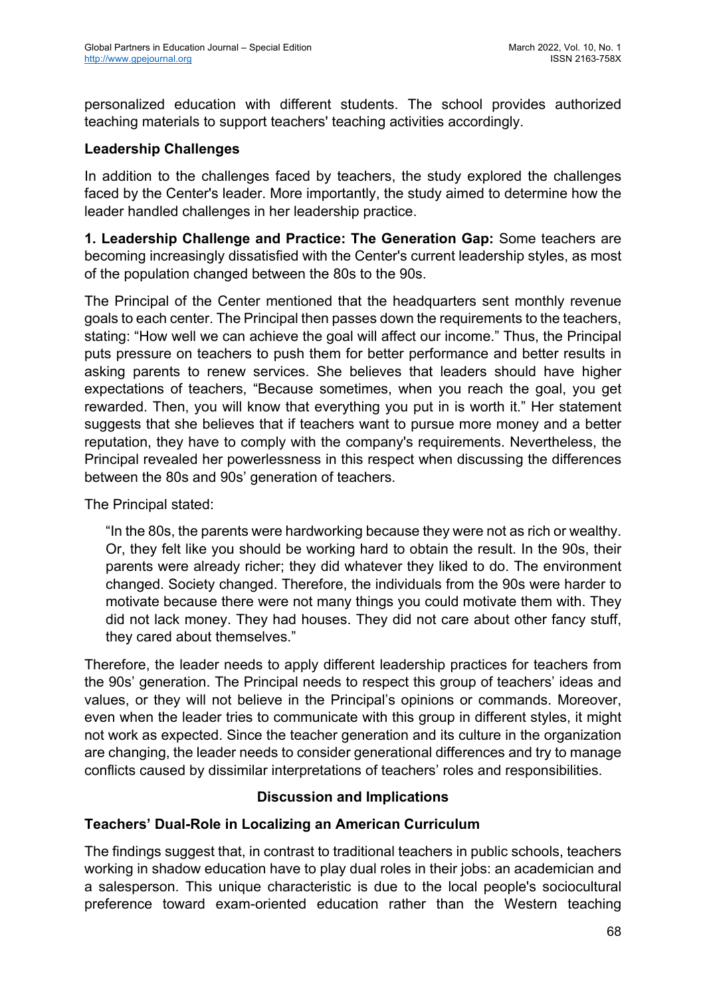personalized education with different students. The school provides authorized teaching materials to support teachers' teaching activities accordingly.

#### **Leadership Challenges**

In addition to the challenges faced by teachers, the study explored the challenges faced by the Center's leader. More importantly, the study aimed to determine how the leader handled challenges in her leadership practice.

**1. Leadership Challenge and Practice: The Generation Gap:** Some teachers are becoming increasingly dissatisfied with the Center's current leadership styles, as most of the population changed between the 80s to the 90s.

The Principal of the Center mentioned that the headquarters sent monthly revenue goals to each center. The Principal then passes down the requirements to the teachers, stating: "How well we can achieve the goal will affect our income." Thus, the Principal puts pressure on teachers to push them for better performance and better results in asking parents to renew services. She believes that leaders should have higher expectations of teachers, "Because sometimes, when you reach the goal, you get rewarded. Then, you will know that everything you put in is worth it." Her statement suggests that she believes that if teachers want to pursue more money and a better reputation, they have to comply with the company's requirements. Nevertheless, the Principal revealed her powerlessness in this respect when discussing the differences between the 80s and 90s' generation of teachers.

The Principal stated:

"In the 80s, the parents were hardworking because they were not as rich or wealthy. Or, they felt like you should be working hard to obtain the result. In the 90s, their parents were already richer; they did whatever they liked to do. The environment changed. Society changed. Therefore, the individuals from the 90s were harder to motivate because there were not many things you could motivate them with. They did not lack money. They had houses. They did not care about other fancy stuff, they cared about themselves."

Therefore, the leader needs to apply different leadership practices for teachers from the 90s' generation. The Principal needs to respect this group of teachers' ideas and values, or they will not believe in the Principal's opinions or commands. Moreover, even when the leader tries to communicate with this group in different styles, it might not work as expected. Since the teacher generation and its culture in the organization are changing, the leader needs to consider generational differences and try to manage conflicts caused by dissimilar interpretations of teachers' roles and responsibilities.

## **Discussion and Implications**

## **Teachers' Dual-Role in Localizing an American Curriculum**

The findings suggest that, in contrast to traditional teachers in public schools, teachers working in shadow education have to play dual roles in their jobs: an academician and a salesperson. This unique characteristic is due to the local people's sociocultural preference toward exam-oriented education rather than the Western teaching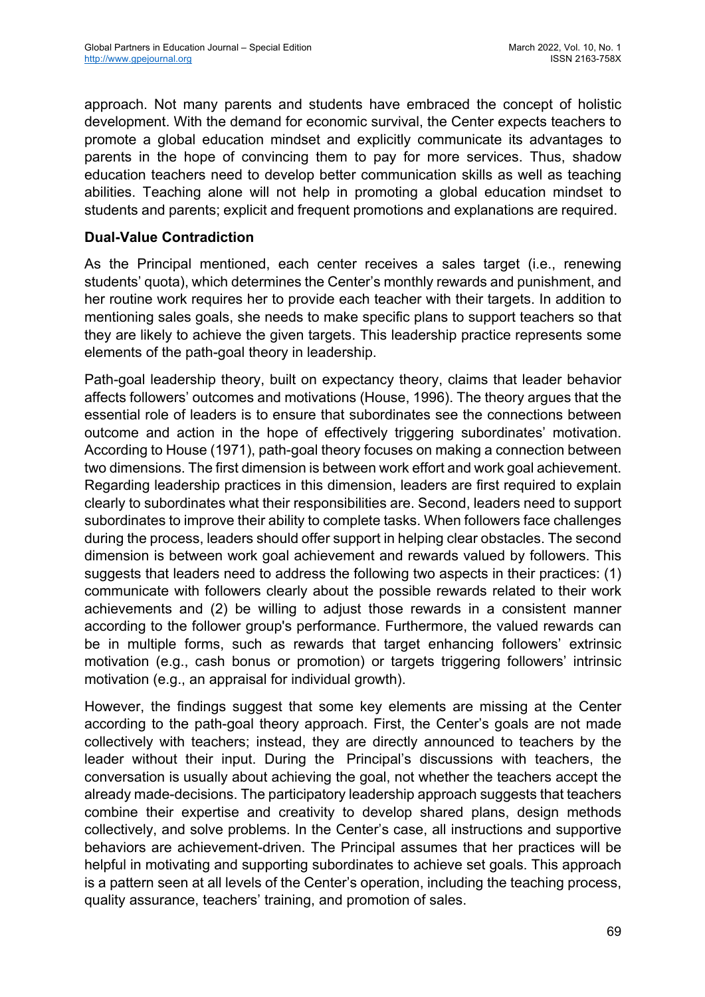approach. Not many parents and students have embraced the concept of holistic development. With the demand for economic survival, the Center expects teachers to promote a global education mindset and explicitly communicate its advantages to parents in the hope of convincing them to pay for more services. Thus, shadow education teachers need to develop better communication skills as well as teaching abilities. Teaching alone will not help in promoting a global education mindset to students and parents; explicit and frequent promotions and explanations are required.

# **Dual-Value Contradiction**

As the Principal mentioned, each center receives a sales target (i.e., renewing students' quota), which determines the Center's monthly rewards and punishment, and her routine work requires her to provide each teacher with their targets. In addition to mentioning sales goals, she needs to make specific plans to support teachers so that they are likely to achieve the given targets. This leadership practice represents some elements of the path-goal theory in leadership.

Path-goal leadership theory, built on expectancy theory, claims that leader behavior affects followers' outcomes and motivations (House, 1996). The theory argues that the essential role of leaders is to ensure that subordinates see the connections between outcome and action in the hope of effectively triggering subordinates' motivation. According to House (1971), path-goal theory focuses on making a connection between two dimensions. The first dimension is between work effort and work goal achievement. Regarding leadership practices in this dimension, leaders are first required to explain clearly to subordinates what their responsibilities are. Second, leaders need to support subordinates to improve their ability to complete tasks. When followers face challenges during the process, leaders should offer support in helping clear obstacles. The second dimension is between work goal achievement and rewards valued by followers. This suggests that leaders need to address the following two aspects in their practices: (1) communicate with followers clearly about the possible rewards related to their work achievements and (2) be willing to adjust those rewards in a consistent manner according to the follower group's performance. Furthermore, the valued rewards can be in multiple forms, such as rewards that target enhancing followers' extrinsic motivation (e.g., cash bonus or promotion) or targets triggering followers' intrinsic motivation (e.g., an appraisal for individual growth).

However, the findings suggest that some key elements are missing at the Center according to the path-goal theory approach. First, the Center's goals are not made collectively with teachers; instead, they are directly announced to teachers by the leader without their input. During the Principal's discussions with teachers, the conversation is usually about achieving the goal, not whether the teachers accept the already made-decisions. The participatory leadership approach suggests that teachers combine their expertise and creativity to develop shared plans, design methods collectively, and solve problems. In the Center's case, all instructions and supportive behaviors are achievement-driven. The Principal assumes that her practices will be helpful in motivating and supporting subordinates to achieve set goals. This approach is a pattern seen at all levels of the Center's operation, including the teaching process, quality assurance, teachers' training, and promotion of sales.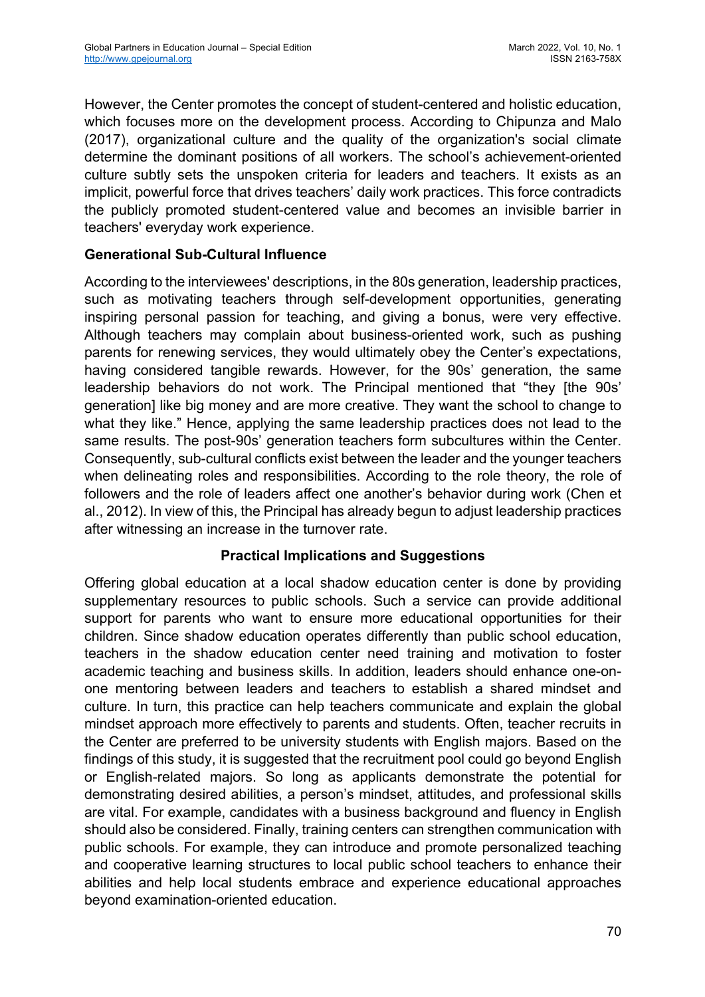However, the Center promotes the concept of student-centered and holistic education, which focuses more on the development process. According to Chipunza and Malo (2017), organizational culture and the quality of the organization's social climate determine the dominant positions of all workers. The school's achievement-oriented culture subtly sets the unspoken criteria for leaders and teachers. It exists as an implicit, powerful force that drives teachers' daily work practices. This force contradicts the publicly promoted student-centered value and becomes an invisible barrier in teachers' everyday work experience.

## **Generational Sub-Cultural Influence**

According to the interviewees' descriptions, in the 80s generation, leadership practices, such as motivating teachers through self-development opportunities, generating inspiring personal passion for teaching, and giving a bonus, were very effective. Although teachers may complain about business-oriented work, such as pushing parents for renewing services, they would ultimately obey the Center's expectations, having considered tangible rewards. However, for the 90s' generation, the same leadership behaviors do not work. The Principal mentioned that "they [the 90s' generation] like big money and are more creative. They want the school to change to what they like." Hence, applying the same leadership practices does not lead to the same results. The post-90s' generation teachers form subcultures within the Center. Consequently, sub-cultural conflicts exist between the leader and the younger teachers when delineating roles and responsibilities. According to the role theory, the role of followers and the role of leaders affect one another's behavior during work (Chen et al., 2012). In view of this, the Principal has already begun to adjust leadership practices after witnessing an increase in the turnover rate.

## **Practical Implications and Suggestions**

Offering global education at a local shadow education center is done by providing supplementary resources to public schools. Such a service can provide additional support for parents who want to ensure more educational opportunities for their children. Since shadow education operates differently than public school education, teachers in the shadow education center need training and motivation to foster academic teaching and business skills. In addition, leaders should enhance one-onone mentoring between leaders and teachers to establish a shared mindset and culture. In turn, this practice can help teachers communicate and explain the global mindset approach more effectively to parents and students. Often, teacher recruits in the Center are preferred to be university students with English majors. Based on the findings of this study, it is suggested that the recruitment pool could go beyond English or English-related majors. So long as applicants demonstrate the potential for demonstrating desired abilities, a person's mindset, attitudes, and professional skills are vital. For example, candidates with a business background and fluency in English should also be considered. Finally, training centers can strengthen communication with public schools. For example, they can introduce and promote personalized teaching and cooperative learning structures to local public school teachers to enhance their abilities and help local students embrace and experience educational approaches beyond examination-oriented education.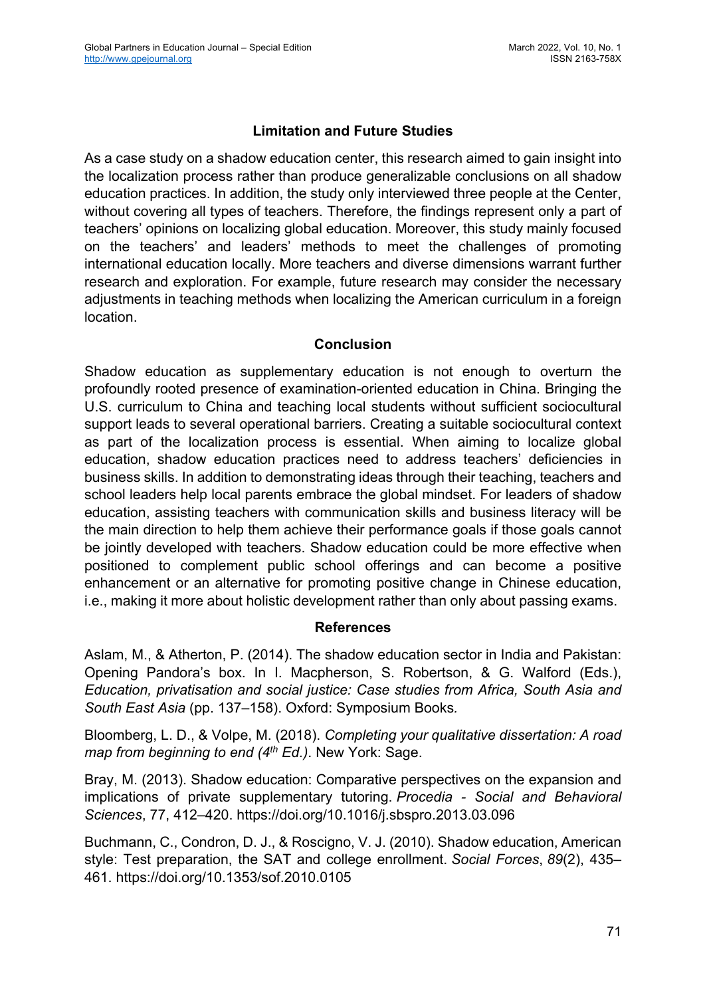# **Limitation and Future Studies**

As a case study on a shadow education center, this research aimed to gain insight into the localization process rather than produce generalizable conclusions on all shadow education practices. In addition, the study only interviewed three people at the Center, without covering all types of teachers. Therefore, the findings represent only a part of teachers' opinions on localizing global education. Moreover, this study mainly focused on the teachers' and leaders' methods to meet the challenges of promoting international education locally. More teachers and diverse dimensions warrant further research and exploration. For example, future research may consider the necessary adjustments in teaching methods when localizing the American curriculum in a foreign location.

#### **Conclusion**

Shadow education as supplementary education is not enough to overturn the profoundly rooted presence of examination-oriented education in China. Bringing the U.S. curriculum to China and teaching local students without sufficient sociocultural support leads to several operational barriers. Creating a suitable sociocultural context as part of the localization process is essential. When aiming to localize global education, shadow education practices need to address teachers' deficiencies in business skills. In addition to demonstrating ideas through their teaching, teachers and school leaders help local parents embrace the global mindset. For leaders of shadow education, assisting teachers with communication skills and business literacy will be the main direction to help them achieve their performance goals if those goals cannot be jointly developed with teachers. Shadow education could be more effective when positioned to complement public school offerings and can become a positive enhancement or an alternative for promoting positive change in Chinese education, i.e., making it more about holistic development rather than only about passing exams.

## **References**

Aslam, M., & Atherton, P. (2014). The shadow education sector in India and Pakistan: Opening Pandora's box. In I. Macpherson, S. Robertson, & G. Walford (Eds.), *Education, privatisation and social justice: Case studies from Africa, South Asia and South East Asia* (pp. 137–158). Oxford: Symposium Books*.*

Bloomberg, L. D., & Volpe, M. (2018). *Completing your qualitative dissertation: A road map from beginning to end (4th Ed.)*. New York: Sage.

Bray, M. (2013). Shadow education: Comparative perspectives on the expansion and implications of private supplementary tutoring. *Procedia - Social and Behavioral Sciences*, 77, 412–420. https://doi.org/10.1016/j.sbspro.2013.03.096

Buchmann, C., Condron, D. J., & Roscigno, V. J. (2010). Shadow education, American style: Test preparation, the SAT and college enrollment. *Social Forces*, *89*(2), 435– 461. https://doi.org/10.1353/sof.2010.0105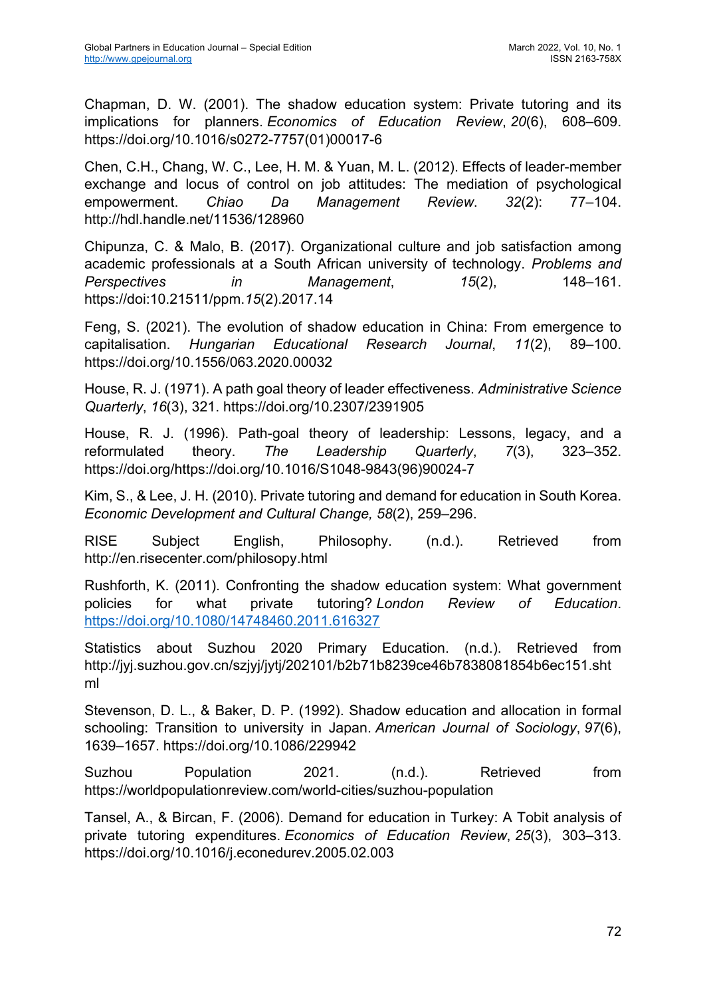Chapman, D. W. (2001). The shadow education system: Private tutoring and its implications for planners. *Economics of Education Review*, *20*(6), 608–609. https://doi.org/10.1016/s0272-7757(01)00017-6

Chen, C.H., Chang, W. C., Lee, H. M. & Yuan, M. L. (2012). Effects of leader-member exchange and locus of control on job attitudes: The mediation of psychological empowerment. *Chiao Da Management Review*. *32*(2): 77–104. http://hdl.handle.net/11536/128960

Chipunza, C. & Malo, B. (2017). Organizational culture and job satisfaction among academic professionals at a South African university of technology. *Problems and Perspectives in Management*, *15*(2), 148–161. https://doi:10.21511/ppm.*15*(2).2017.14

Feng, S. (2021). The evolution of shadow education in China: From emergence to capitalisation. *Hungarian Educational Research Journal*, *11*(2), 89–100. https://doi.org/10.1556/063.2020.00032

House, R. J. (1971). A path goal theory of leader effectiveness. *Administrative Science Quarterly*, *16*(3), 321. https://doi.org/10.2307/2391905

House, R. J. (1996). Path-goal theory of leadership: Lessons, legacy, and a reformulated theory. *The Leadership Quarterly*, *7*(3), 323–352. https://doi.org/https://doi.org/10.1016/S1048-9843(96)90024-7

Kim, S., & Lee, J. H. (2010). Private tutoring and demand for education in South Korea. *Economic Development and Cultural Change, 58*(2), 259–296.

RISE Subject English, Philosophy. (n.d.). Retrieved from http://en.risecenter.com/philosopy.html

Rushforth, K. (2011). Confronting the shadow education system: What government policies for what private tutoring? *London Review of Education*. https://doi.org/10.1080/14748460.2011.616327

Statistics about Suzhou 2020 Primary Education. (n.d.). Retrieved from http://jyj.suzhou.gov.cn/szjyj/jytj/202101/b2b71b8239ce46b7838081854b6ec151.sht ml

Stevenson, D. L., & Baker, D. P. (1992). Shadow education and allocation in formal schooling: Transition to university in Japan. *American Journal of Sociology*, *97*(6), 1639–1657. https://doi.org/10.1086/229942

Suzhou Population 2021. (n.d.). Retrieved from https://worldpopulationreview.com/world-cities/suzhou-population

Tansel, A., & Bircan, F. (2006). Demand for education in Turkey: A Tobit analysis of private tutoring expenditures. *Economics of Education Review*, *25*(3), 303–313. https://doi.org/10.1016/j.econedurev.2005.02.003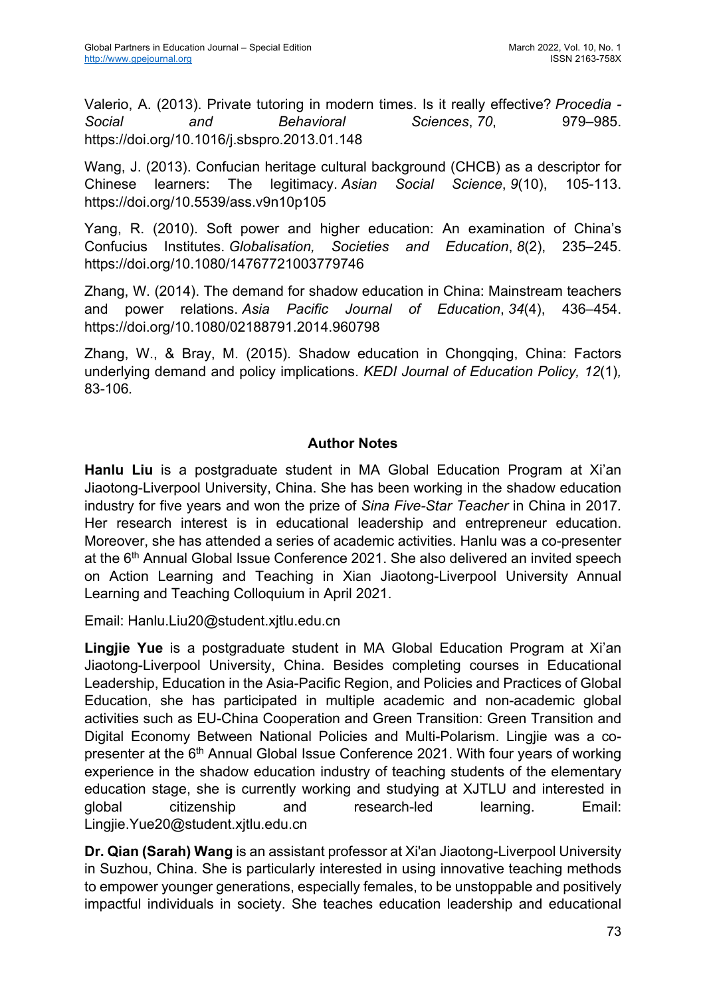Valerio, A. (2013). Private tutoring in modern times. Is it really effective? *Procedia - Social and Behavioral Sciences*, *70*, 979–985. https://doi.org/10.1016/j.sbspro.2013.01.148

Wang, J. (2013). Confucian heritage cultural background (CHCB) as a descriptor for Chinese learners: The legitimacy. *Asian Social Science*, *9*(10), 105-113. https://doi.org/10.5539/ass.v9n10p105

Yang, R. (2010). Soft power and higher education: An examination of China's Confucius Institutes. *Globalisation, Societies and Education*, *8*(2), 235–245. https://doi.org/10.1080/14767721003779746

Zhang, W. (2014). The demand for shadow education in China: Mainstream teachers and power relations. *Asia Pacific Journal of Education*, *34*(4), 436–454. https://doi.org/10.1080/02188791.2014.960798

Zhang, W., & Bray, M. (2015). Shadow education in Chongqing, China: Factors underlying demand and policy implications. *KEDI Journal of Education Policy, 12*(1)*,*  83-106*.*

## **Author Notes**

**Hanlu Liu** is a postgraduate student in MA Global Education Program at Xi'an Jiaotong-Liverpool University, China. She has been working in the shadow education industry for five years and won the prize of *Sina Five-Star Teacher* in China in 2017*.*  Her research interest is in educational leadership and entrepreneur education. Moreover, she has attended a series of academic activities. Hanlu was a co-presenter at the 6<sup>th</sup> Annual Global Issue Conference 2021. She also delivered an invited speech on Action Learning and Teaching in Xian Jiaotong-Liverpool University Annual Learning and Teaching Colloquium in April 2021.

Email: Hanlu.Liu20@student.xjtlu.edu.cn

**Lingjie Yue** is a postgraduate student in MA Global Education Program at Xi'an Jiaotong-Liverpool University, China. Besides completing courses in Educational Leadership, Education in the Asia-Pacific Region, and Policies and Practices of Global Education, she has participated in multiple academic and non-academic global activities such as EU-China Cooperation and Green Transition: Green Transition and Digital Economy Between National Policies and Multi-Polarism. Lingjie was a copresenter at the 6<sup>th</sup> Annual Global Issue Conference 2021. With four years of working experience in the shadow education industry of teaching students of the elementary education stage, she is currently working and studying at XJTLU and interested in global citizenship and research-led learning. Email: Lingjie.Yue20@student.xjtlu.edu.cn

**Dr. Qian (Sarah) Wang** is an assistant professor at Xi'an Jiaotong-Liverpool University in Suzhou, China. She is particularly interested in using innovative teaching methods to empower younger generations, especially females, to be unstoppable and positively impactful individuals in society. She teaches education leadership and educational